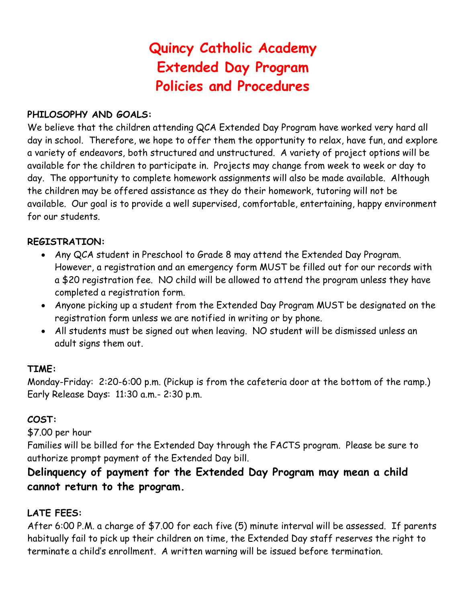# **Quincy Catholic Academy Extended Day Program Policies and Procedures**

#### **PHILOSOPHY AND GOALS:**

We believe that the children attending QCA Extended Day Program have worked very hard all day in school. Therefore, we hope to offer them the opportunity to relax, have fun, and explore a variety of endeavors, both structured and unstructured. A variety of project options will be available for the children to participate in. Projects may change from week to week or day to day. The opportunity to complete homework assignments will also be made available. Although the children may be offered assistance as they do their homework, tutoring will not be available. Our goal is to provide a well supervised, comfortable, entertaining, happy environment for our students.

#### **REGISTRATION:**

- Any QCA student in Preschool to Grade 8 may attend the Extended Day Program. However, a registration and an emergency form MUST be filled out for our records with a \$20 registration fee. NO child will be allowed to attend the program unless they have completed a registration form.
- Anyone picking up a student from the Extended Day Program MUST be designated on the registration form unless we are notified in writing or by phone.
- All students must be signed out when leaving. NO student will be dismissed unless an adult signs them out.

#### **TIME:**

Monday-Friday: 2:20-6:00 p.m. (Pickup is from the cafeteria door at the bottom of the ramp.) Early Release Days: 11:30 a.m.- 2:30 p.m.

#### **COST:**

\$7.00 per hour

Families will be billed for the Extended Day through the FACTS program. Please be sure to authorize prompt payment of the Extended Day bill.

## **Delinquency of payment for the Extended Day Program may mean a child cannot return to the program.**

## **LATE FEES:**

After 6:00 P.M. a charge of \$7.00 for each five (5) minute interval will be assessed. If parents habitually fail to pick up their children on time, the Extended Day staff reserves the right to terminate a child's enrollment. A written warning will be issued before termination.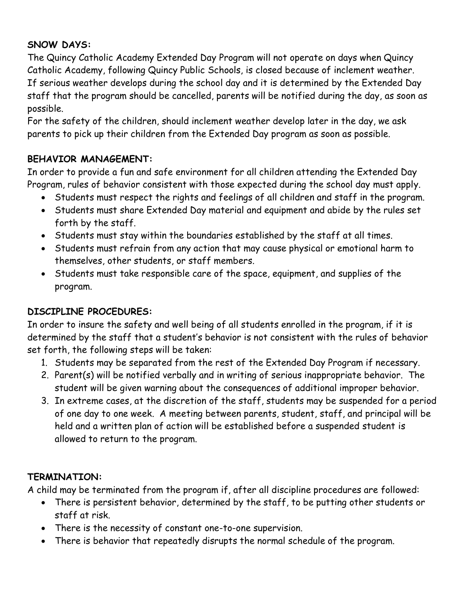## **SNOW DAYS:**

The Quincy Catholic Academy Extended Day Program will not operate on days when Quincy Catholic Academy, following Quincy Public Schools, is closed because of inclement weather. If serious weather develops during the school day and it is determined by the Extended Day staff that the program should be cancelled, parents will be notified during the day, as soon as possible.

For the safety of the children, should inclement weather develop later in the day, we ask parents to pick up their children from the Extended Day program as soon as possible.

## **BEHAVIOR MANAGEMENT:**

In order to provide a fun and safe environment for all children attending the Extended Day Program, rules of behavior consistent with those expected during the school day must apply.

- Students must respect the rights and feelings of all children and staff in the program.
- Students must share Extended Day material and equipment and abide by the rules set forth by the staff.
- Students must stay within the boundaries established by the staff at all times.
- Students must refrain from any action that may cause physical or emotional harm to themselves, other students, or staff members.
- Students must take responsible care of the space, equipment, and supplies of the program.

## **DISCIPLINE PROCEDURES:**

In order to insure the safety and well being of all students enrolled in the program, if it is determined by the staff that a student's behavior is not consistent with the rules of behavior set forth, the following steps will be taken:

- 1. Students may be separated from the rest of the Extended Day Program if necessary.
- 2. Parent(s) will be notified verbally and in writing of serious inappropriate behavior. The student will be given warning about the consequences of additional improper behavior.
- 3. In extreme cases, at the discretion of the staff, students may be suspended for a period of one day to one week. A meeting between parents, student, staff, and principal will be held and a written plan of action will be established before a suspended student is allowed to return to the program.

## **TERMINATION:**

A child may be terminated from the program if, after all discipline procedures are followed:

- There is persistent behavior, determined by the staff, to be putting other students or staff at risk.
- There is the necessity of constant one-to-one supervision.
- There is behavior that repeatedly disrupts the normal schedule of the program.